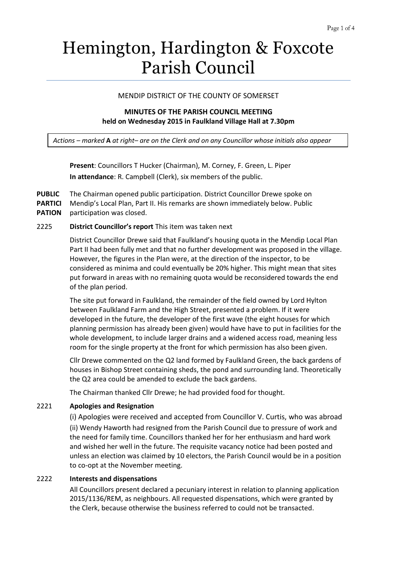# Hemington, Hardington & Foxcote Parish Council

## MENDIP DISTRICT OF THE COUNTY OF SOMERSET

## **MINUTES OF THE PARISH COUNCIL MEETING held on Wednesday 2015 in Faulkland Village Hall at 7.30pm**

*Actions – marked* **A** *at right– are on the Clerk and on any Councillor whose initials also appear*

**Present**: Councillors T Hucker (Chairman), M. Corney, F. Green, L. Piper **In attendance**: R. Campbell (Clerk), six members of the public.

**PUBLIC PARTICI PATION** The Chairman opened public participation. District Councillor Drewe spoke on Mendip's Local Plan, Part II. His remarks are shown immediately below. Public participation was closed.

#### 2225 **District Councillor's report** This item was taken next

District Councillor Drewe said that Faulkland's housing quota in the Mendip Local Plan Part II had been fully met and that no further development was proposed in the village. However, the figures in the Plan were, at the direction of the inspector, to be considered as minima and could eventually be 20% higher. This might mean that sites put forward in areas with no remaining quota would be reconsidered towards the end of the plan period.

The site put forward in Faulkland, the remainder of the field owned by Lord Hylton between Faulkland Farm and the High Street, presented a problem. If it were developed in the future, the developer of the first wave (the eight houses for which planning permission has already been given) would have have to put in facilities for the whole development, to include larger drains and a widened access road, meaning less room for the single property at the front for which permission has also been given.

Cllr Drewe commented on the Q2 land formed by Faulkland Green, the back gardens of houses in Bishop Street containing sheds, the pond and surrounding land. Theoretically the Q2 area could be amended to exclude the back gardens.

The Chairman thanked Cllr Drewe; he had provided food for thought.

## 2221 **Apologies and Resignation**

(i) Apologies were received and accepted from Councillor V. Curtis, who was abroad (ii) Wendy Haworth had resigned from the Parish Council due to pressure of work and the need for family time. Councillors thanked her for her enthusiasm and hard work and wished her well in the future. The requisite vacancy notice had been posted and unless an election was claimed by 10 electors, the Parish Council would be in a position to co-opt at the November meeting.

## 2222 **Interests and dispensations**

All Councillors present declared a pecuniary interest in relation to planning application 2015/1136/REM, as neighbours. All requested dispensations, which were granted by the Clerk, because otherwise the business referred to could not be transacted.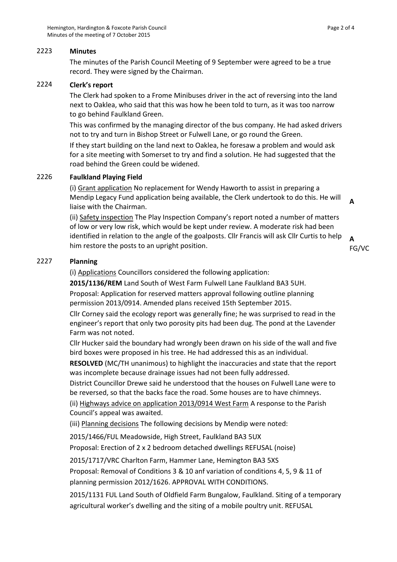## 2223 **Minutes**

The minutes of the Parish Council Meeting of 9 September were agreed to be a true record. They were signed by the Chairman.

## 2224 **Clerk's report**

The Clerk had spoken to a Frome Minibuses driver in the act of reversing into the land next to Oaklea, who said that this was how he been told to turn, as it was too narrow to go behind Faulkland Green.

This was confirmed by the managing director of the bus company. He had asked drivers not to try and turn in Bishop Street or Fulwell Lane, or go round the Green.

If they start building on the land next to Oaklea, he foresaw a problem and would ask for a site meeting with Somerset to try and find a solution. He had suggested that the road behind the Green could be widened.

## 2226 **Faulkland Playing Field**

(i) Grant application No replacement for Wendy Haworth to assist in preparing a Mendip Legacy Fund application being available, the Clerk undertook to do this. He will liaise with the Chairman. **A**

(ii) Safety inspection The Play Inspection Company's report noted a number of matters of low or very low risk, which would be kept under review. A moderate risk had been identified in relation to the angle of the goalposts. Cllr Francis will ask Cllr Curtis to help him restore the posts to an upright position.

```
A 
FG/VC
```
## 2227 **Planning**

(i) Applications Councillors considered the following application:

**2015/1136/REM** Land South of West Farm Fulwell Lane Faulkland BA3 5UH.

Proposal: Application for reserved matters approval following outline planning permission 2013/0914. Amended plans received 15th September 2015.

Cllr Corney said the ecology report was generally fine; he was surprised to read in the engineer's report that only two porosity pits had been dug. The pond at the Lavender Farm was not noted.

Cllr Hucker said the boundary had wrongly been drawn on his side of the wall and five bird boxes were proposed in his tree. He had addressed this as an individual.

**RESOLVED** (MC/TH unanimous) to highlight the inaccuracies and state that the report was incomplete because drainage issues had not been fully addressed.

District Councillor Drewe said he understood that the houses on Fulwell Lane were to be reversed, so that the backs face the road. Some houses are to have chimneys.

(ii) Highways advice on application 2013/0914 West Farm A response to the Parish Council's appeal was awaited.

(iii) Planning decisions The following decisions by Mendip were noted:

2015/1466/FUL Meadowside, High Street, Faulkland BA3 5UX

Proposal: Erection of 2 x 2 bedroom detached dwellings REFUSAL (noise)

2015/1717/VRC Charlton Farm, Hammer Lane, Hemington BA3 5XS

Proposal: Removal of Conditions 3 & 10 anf variation of conditions 4, 5, 9 & 11 of planning permission 2012/1626. APPROVAL WITH CONDITIONS.

2015/1131 FUL Land South of Oldfield Farm Bungalow, Faulkland. Siting of a temporary agricultural worker's dwelling and the siting of a mobile poultry unit. REFUSAL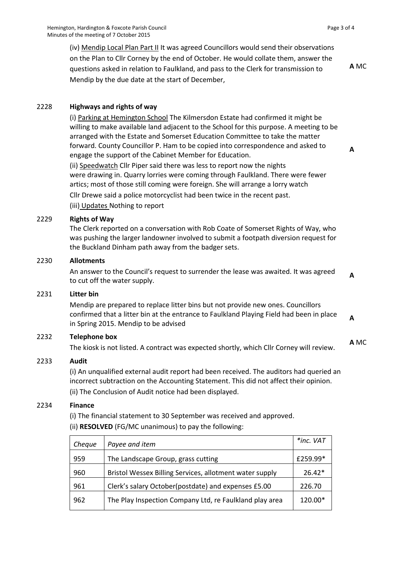(iv) Mendip Local Plan Part II It was agreed Councillors would send their observations on the Plan to Cllr Corney by the end of October. He would collate them, answer the questions asked in relation to Faulkland, and pass to the Clerk for transmission to Mendip by the due date at the start of December,

**A** MC

**A**

**A** MC

## 2228 **Highways and rights of way**

(i) Parking at Hemington School The Kilmersdon Estate had confirmed it might be willing to make available land adjacent to the School for this purpose. A meeting to be arranged with the Estate and Somerset Education Committee to take the matter forward. County Councillor P. Ham to be copied into correspondence and asked to engage the support of the Cabinet Member for Education.

(ii) Speedwatch Cllr Piper said there was less to report now the nights were drawing in. Quarry lorries were coming through Faulkland. There were fewer artics; most of those still coming were foreign. She will arrange a lorry watch

Cllr Drewe said a police motorcyclist had been twice in the recent past. (iii) Updates Nothing to report

#### 2229 **Rights of Way**

The Clerk reported on a conversation with Rob Coate of Somerset Rights of Way, who was pushing the larger landowner involved to submit a footpath diversion request for the Buckland Dinham path away from the badger sets.

#### 2230 **Allotments**

An answer to the Council's request to surrender the lease was awaited. It was agreed to cut off the water supply. **A**

#### 2231 **Litter bin**

Mendip are prepared to replace litter bins but not provide new ones. Councillors confirmed that a litter bin at the entrance to Faulkland Playing Field had been in place in Spring 2015. Mendip to be advised **A**

#### 2232 **Telephone box**

The kiosk is not listed. A contract was expected shortly, which Cllr Corney will review.

#### 2233 **Audit**

(i) An unqualified external audit report had been received. The auditors had queried an incorrect subtraction on the Accounting Statement. This did not affect their opinion. (ii) The Conclusion of Audit notice had been displayed.

#### 2234 **Finance**

(i) The financial statement to 30 September was received and approved. (ii) **RESOLVED** (FG/MC unanimous) to pay the following:

| Cheque | Payee and item                                          | $*$ inc. VAT |
|--------|---------------------------------------------------------|--------------|
| 959    | The Landscape Group, grass cutting                      | £259.99*     |
| 960    | Bristol Wessex Billing Services, allotment water supply | $26.42*$     |
| 961    | Clerk's salary October (postdate) and expenses £5.00    | 226.70       |
| 962    | The Play Inspection Company Ltd, re Faulkland play area | 120.00*      |